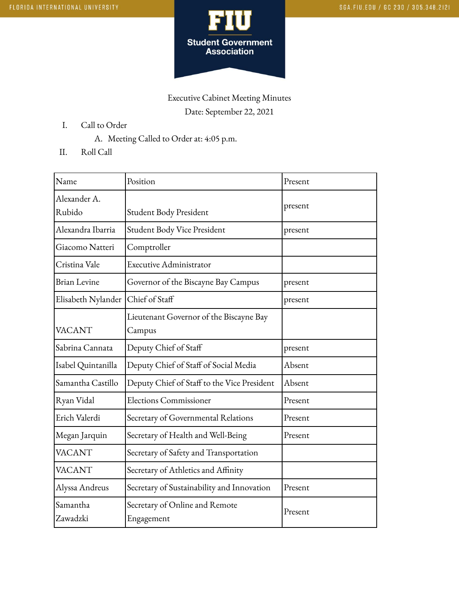

## Executive Cabinet Meeting Minutes Date: September 22, 2021

- I. Call to Order
	- A. Meeting Called to Order at: 4:05 p.m.
- II. Roll Call

| Name                 | Position                                     | Present |
|----------------------|----------------------------------------------|---------|
| Alexander A.         |                                              | present |
| Rubido               | Student Body President                       |         |
| Alexandra Ibarria    | Student Body Vice President                  | present |
| Giacomo Natteri      | Comptroller                                  |         |
| Cristina Vale        | <b>Executive Administrator</b>               |         |
| <b>Brian Levine</b>  | Governor of the Biscayne Bay Campus          | present |
| Elisabeth Nylander   | Chief of Staff                               | present |
|                      | Lieutenant Governor of the Biscayne Bay      |         |
| <b>VACANT</b>        | Campus                                       |         |
| Sabrina Cannata      | Deputy Chief of Staff                        | present |
| Isabel Quintanilla   | Deputy Chief of Staff of Social Media        | Absent  |
| Samantha Castillo    | Deputy Chief of Staff to the Vice President  | Absent  |
| Ryan Vidal           | <b>Elections Commissioner</b>                | Present |
| Erich Valerdi        | Secretary of Governmental Relations          | Present |
| Megan Jarquin        | Secretary of Health and Well-Being           | Present |
| <b>VACANT</b>        | Secretary of Safety and Transportation       |         |
| <b>VACANT</b>        | Secretary of Athletics and Affinity          |         |
| Alyssa Andreus       | Secretary of Sustainability and Innovation   | Present |
| Samantha<br>Zawadzki | Secretary of Online and Remote<br>Engagement | Present |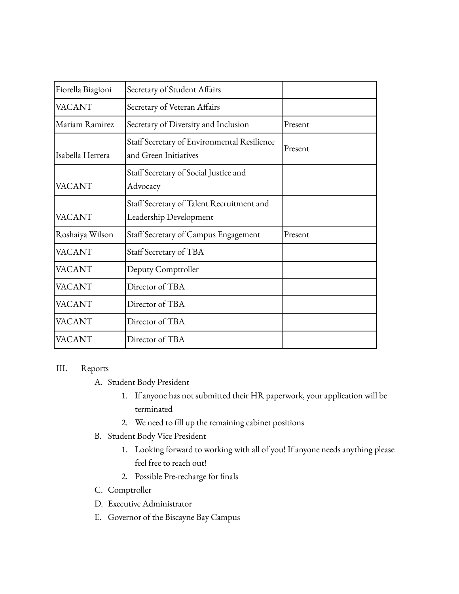| Fiorella Biagioni | Secretary of Student Affairs                                         |         |
|-------------------|----------------------------------------------------------------------|---------|
| <b>VACANT</b>     | Secretary of Veteran Affairs                                         |         |
| lMariam Ramirez   | Secretary of Diversity and Inclusion                                 | Present |
| Isabella Herrera  | Staff Secretary of Environmental Resilience<br>and Green Initiatives | Present |
| <b>VACANT</b>     | Staff Secretary of Social Justice and<br>Advocacy                    |         |
| <b>VACANT</b>     | Staff Secretary of Talent Recruitment and<br>Leadership Development  |         |
| Roshaiya Wilson   | Staff Secretary of Campus Engagement                                 | Present |
| <b>VACANT</b>     | Staff Secretary of TBA                                               |         |
| <b>VACANT</b>     | Deputy Comptroller                                                   |         |
| <b>VACANT</b>     | Director of TBA                                                      |         |
| <b>VACANT</b>     | Director of TBA                                                      |         |
| <b>VACANT</b>     | Director of TBA                                                      |         |
| <b>VACANT</b>     | Director of TBA                                                      |         |

## III. Reports

- A. Student Body President
	- 1. If anyone has not submitted their HR paperwork, your application will be terminated
	- 2. We need to fill up the remaining cabinet positions
- B. Student Body Vice President
	- 1. Looking forward to working with all of you! If anyone needs anything please feel free to reach out!
	- 2. Possible Pre-recharge for finals
- C. Comptroller
- D. Executive Administrator
- E. Governor of the Biscayne Bay Campus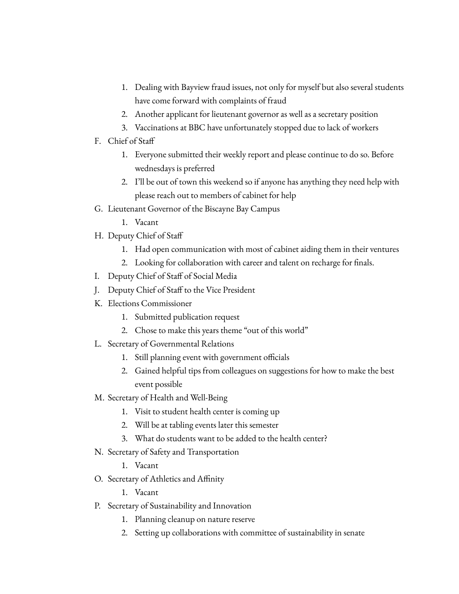- 1. Dealing with Bayview fraud issues, not only for myself but also several students have come forward with complaints of fraud
- 2. Another applicant for lieutenant governor as well as a secretary position
- 3. Vaccinations at BBC have unfortunately stopped due to lack of workers
- F. Chief of Staff
	- 1. Everyone submitted their weekly report and please continue to do so. Before wednesdays is preferred
	- 2. I'll be out of town this weekend so if anyone has anything they need help with please reach out to members of cabinet for help
- G. Lieutenant Governor of the Biscayne Bay Campus
	- 1. Vacant
- H. Deputy Chief of Staff
	- 1. Had open communication with most of cabinet aiding them in their ventures
	- 2. Looking for collaboration with career and talent on recharge for finals.
- I. Deputy Chief of Staff of Social Media
- J. Deputy Chief of Staff to the Vice President
- K. Elections Commissioner
	- 1. Submitted publication request
	- 2. Chose to make this years theme "out of this world"
- L. Secretary of Governmental Relations
	- 1. Still planning event with government officials
	- 2. Gained helpful tips from colleagues on suggestions for how to make the best event possible
- M. Secretary of Health and Well-Being
	- 1. Visit to student health center is coming up
	- 2. Will be at tabling events later this semester
	- 3. What do students want to be added to the health center?
- N. Secretary of Safety and Transportation
	- 1. Vacant
- O. Secretary of Athletics and Affinity
	- 1. Vacant
- P. Secretary of Sustainability and Innovation
	- 1. Planning cleanup on nature reserve
	- 2. Setting up collaborations with committee of sustainability in senate